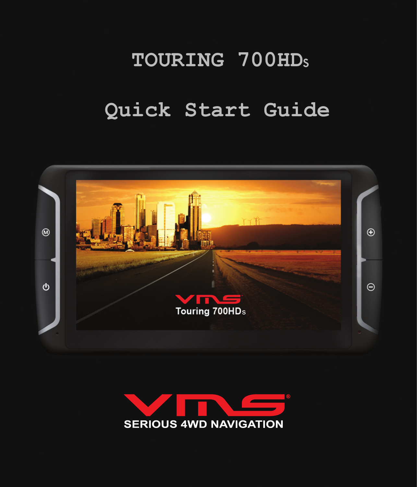# **TOURING 700HD** s

# **Quick Start Guide**



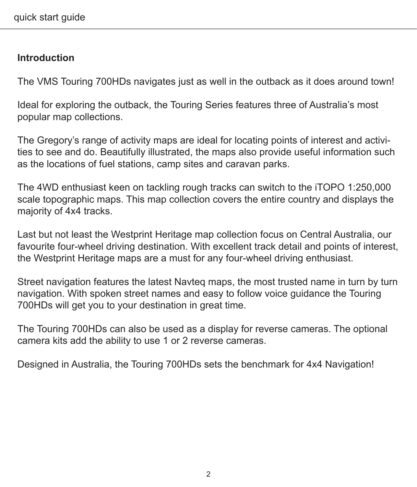# **Introduction**

The VMS Touring 700HDs navigates just as well in the outback as it does around town!

Ideal for exploring the outback, the Touring Series features three of Australia's most popular map collections.

The Gregory's range of activity maps are ideal for locating points of interest and activities to see and do. Beautifully illustrated, the maps also provide useful information such as the locations of fuel stations, camp sites and caravan parks.

The 4WD enthusiast keen on tackling rough tracks can switch to the iTOPO 1:250,000 scale topographic maps. This map collection covers the entire country and displays the majority of 4x4 tracks.

Last but not least the Westprint Heritage map collection focus on Central Australia, our favourite four-wheel driving destination. With excellent track detail and points of interest, the Westprint Heritage maps are a must for any four-wheel driving enthusiast.

Street navigation features the latest Navteq maps, the most trusted name in turn by turn navigation. With spoken street names and easy to follow voice guidance the Touring 700HDs will get you to your destination in great time.

The Touring 700HDs can also be used as a display for reverse cameras. The optional camera kits add the ability to use 1 or 2 reverse cameras.

Designed in Australia, the Touring 700HDs sets the benchmark for 4x4 Navigation!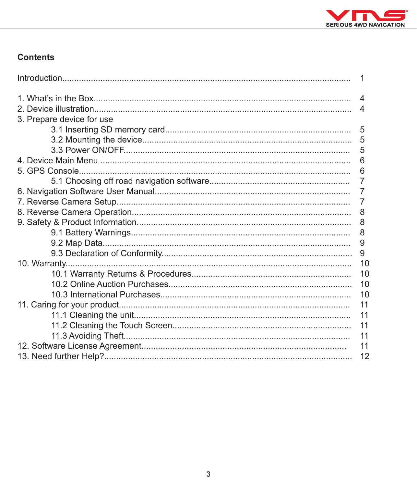

# Contents

|                           | 1              |  |  |
|---------------------------|----------------|--|--|
|                           | $\overline{4}$ |  |  |
|                           | 4              |  |  |
| 3. Prepare device for use |                |  |  |
|                           |                |  |  |
|                           | 5              |  |  |
|                           | 5              |  |  |
|                           | 6              |  |  |
| 5. GPS Console.           | 6              |  |  |
|                           | $\overline{7}$ |  |  |
|                           | 7              |  |  |
| 7                         |                |  |  |
| 8                         |                |  |  |
| 8                         |                |  |  |
|                           | 8              |  |  |
|                           | 9              |  |  |
|                           |                |  |  |
|                           |                |  |  |
|                           | 10             |  |  |
|                           | 10             |  |  |
|                           |                |  |  |
| 11                        |                |  |  |
|                           | 11             |  |  |
|                           |                |  |  |
|                           |                |  |  |
| 11                        |                |  |  |
|                           |                |  |  |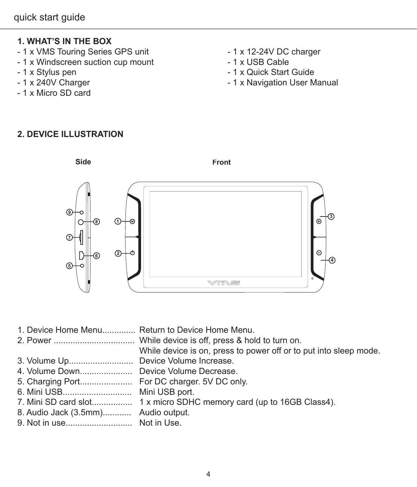# **1. WHAT'S IN THE BOX**

- 1 x VMS Touring Series GPS unit 1 x 12-24V DC charger<br>- 1 x Windscreen suction cup mount 1 x USB Cable
- 1 x Windscreen suction cup mount<br>- 1 x Stylus pen
- 
- 
- 1 x Micro SD card
- 
- 
- 1 x Stylus pen 1 x Quick Start Guide<br>- 1 x 240V Charger 1 x Navigation User M
	- 1 x Navigation User Manual

## **2. DEVICE ILLUSTRATION**



|                                        | 1. Device Home Menu Return to Device Home Menu.                      |
|----------------------------------------|----------------------------------------------------------------------|
|                                        | While device is on, press to power off or to put into sleep mode.    |
| 3. Volume Up Device Volume Increase.   |                                                                      |
| 4. Volume Down Device Volume Decrease. |                                                                      |
|                                        | 5. Charging Port For DC charger. 5V DC only.                         |
| 6. Mini USB Mini USB port.             |                                                                      |
|                                        | 7. Mini SD card slot 1 x micro SDHC memory card (up to 16GB Class4). |
| 8. Audio Jack (3.5mm) Audio output.    |                                                                      |
|                                        |                                                                      |
|                                        |                                                                      |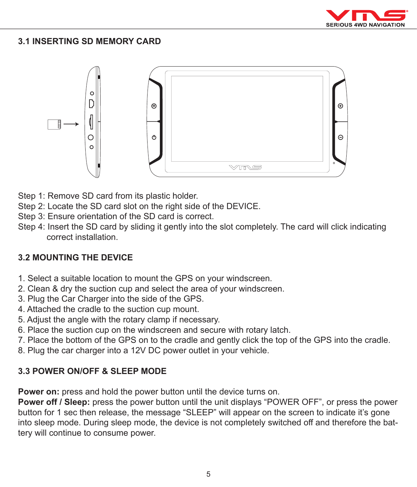

#### **3.1 INSERTING SD MEMORY CARD**



- Step 1: Remove SD card from its plastic holder.
- Step 2: Locate the SD card slot on the right side of the DEVICE.
- Step 3: Ensure orientation of the SD card is correct.
- Step 4: Insert the SD card by sliding it gently into the slot completely. The card will click indicating correct installation.

#### **3.2 MOUNTING THE DEVICE**

- 1. Select a suitable location to mount the GPS on your windscreen.
- 2. Clean & dry the suction cup and select the area of your windscreen.
- 3. Plug the Car Charger into the side of the GPS.
- 4. Attached the cradle to the suction cup mount.
- 5. Adjust the angle with the rotary clamp if necessary.
- 6. Place the suction cup on the windscreen and secure with rotary latch.
- 7. Place the bottom of the GPS on to the cradle and gently click the top of the GPS into the cradle.
- 8. Plug the car charger into a 12V DC power outlet in your vehicle.

#### **3.3 POWER ON/OFF & SLEEP MODE**

**Power on:** press and hold the power button until the device turns on.

**Power off / Sleep:** press the power button until the unit displays "POWER OFF", or press the power button for 1 sec then release, the message "SLEEP" will appear on the screen to indicate it's gone into sleep mode. During sleep mode, the device is not completely switched off and therefore the battery will continue to consume power.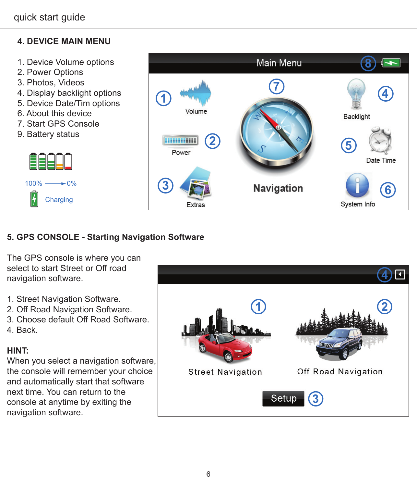# **4. DEVICE MAIN MENU**

- 1. Device Volume options
- 2. Power Options
- 3. Photos, Videos
- 4. Display backlight options
- 5. Device Date/Tim options
- 6. About this device
- 7. Start GPS Console
- 9. Battery status





# **5. GPS CONSOLE - Starting Navigation Software**

The GPS console is where you can select to start Street or Off road navigation software.

- 1. Street Navigation Software.
- 2. Off Road Navigation Software.
- 3. Choose default Off Road Software.
- 4. Back.

#### **HINT:**

When you select a navigation software, the console will remember your choice and automatically start that software next time. You can return to the console at anytime by exiting the navigation software.

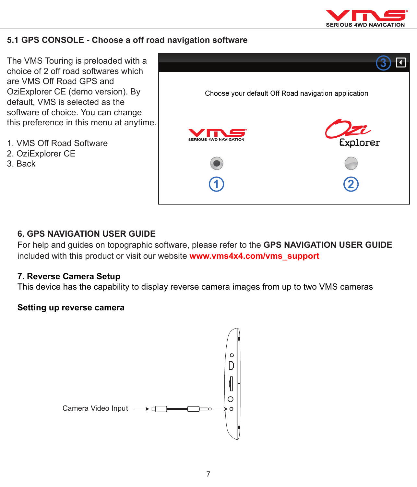

#### **5.1 GPS CONSOLE - Choose a off road navigation software**

The VMS Touring is preloaded with a choice of 2 off road softwares which are VMS Off Road GPS and OziExplorer CE (demo version). By default, VMS is selected as the software of choice. You can change this preference in this menu at anytime.

- 1. VMS Off Road Software
- 2. OziExplorer CE
- 3. Back



#### **6. GPS NAVIGATION USER GUIDE**

For help and guides on topographic software, please refer to the **GPS NAVIGATION USER GUIDE**  included with this product or visit our website **www.vms4x4.com/vms\_support**

#### **7. Reverse Camera Setup**

This device has the capability to display reverse camera images from up to two VMS cameras

#### **Setting up reverse camera**

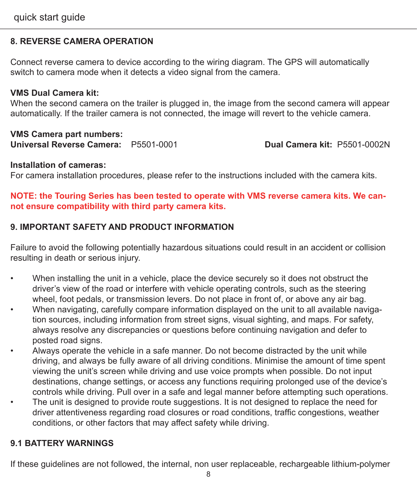#### **8. REVERSE CAMERA OPERATION**

Connect reverse camera to device according to the wiring diagram. The GPS will automatically switch to camera mode when it detects a video signal from the camera.

#### **VMS Dual Camera kit:**

When the second camera on the trailer is plugged in, the image from the second camera will appear automatically. If the trailer camera is not connected, the image will revert to the vehicle camera.

#### **VMS Camera part numbers:**

**Universal Reverse Camera:** P5501-0001 **Dual Camera kit:** P5501-0002N

#### **Installation of cameras:**

For camera installation procedures, please refer to the instructions included with the camera kits.

#### **NOTE: the Touring Series has been tested to operate with VMS reverse camera kits. We cannot ensure compatibility with third party camera kits.**

#### **9. IMPORTANT SAFETY AND PRODUCT INFORMATION**

Failure to avoid the following potentially hazardous situations could result in an accident or collision resulting in death or serious injury.

- When installing the unit in a vehicle, place the device securely so it does not obstruct the driver's view of the road or interfere with vehicle operating controls, such as the steering wheel, foot pedals, or transmission levers. Do not place in front of, or above any air bag.
- When navigating, carefully compare information displayed on the unit to all available navigation sources, including information from street signs, visual sighting, and maps. For safety, always resolve any discrepancies or questions before continuing navigation and defer to posted road signs.
- Always operate the vehicle in a safe manner. Do not become distracted by the unit while driving, and always be fully aware of all driving conditions. Minimise the amount of time spent viewing the unit's screen while driving and use voice prompts when possible. Do not input destinations, change settings, or access any functions requiring prolonged use of the device's controls while driving. Pull over in a safe and legal manner before attempting such operations.
- The unit is designed to provide route suggestions. It is not designed to replace the need for driver attentiveness regarding road closures or road conditions, traffic congestions, weather conditions, or other factors that may affect safety while driving.

## **9.1 BATTERY WARNINGS**

If these guidelines are not followed, the internal, non user replaceable, rechargeable lithium-polymer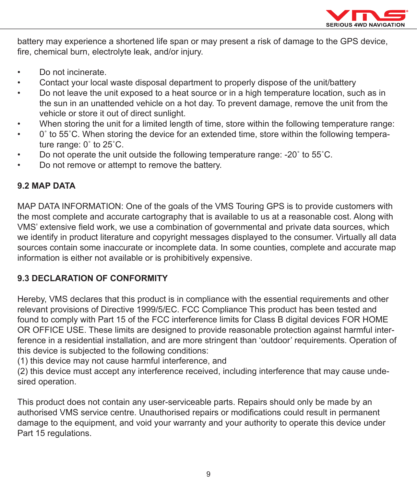

battery may experience a shortened life span or may present a risk of damage to the GPS device, fire, chemical burn, electrolyte leak, and/or injury.

- • Do not incinerate.
- Contact your local waste disposal department to properly dispose of the unit/battery
- Do not leave the unit exposed to a heat source or in a high temperature location, such as in the sun in an unattended vehicle on a hot day. To prevent damage, remove the unit from the vehicle or store it out of direct sunlight.
- When storing the unit for a limited length of time, store within the following temperature range:
- • 0˚ to 55˚C. When storing the device for an extended time, store within the following temperature range: 0˚ to 25˚C.
- Do not operate the unit outside the following temperature range: -20° to 55°C.
- Do not remove or attempt to remove the battery.

#### **9.2 MAP DATA**

MAP DATA INFORMATION: One of the goals of the VMS Touring GPS is to provide customers with the most complete and accurate cartography that is available to us at a reasonable cost. Along with VMS' extensive field work, we use a combination of governmental and private data sources, which we identify in product literature and copyright messages displayed to the consumer. Virtually all data sources contain some inaccurate or incomplete data. In some counties, complete and accurate map information is either not available or is prohibitively expensive.

#### **9.3 DECLARATION OF CONFORMITY**

Hereby, VMS declares that this product is in compliance with the essential requirements and other relevant provisions of Directive 1999/5/EC. FCC Compliance This product has been tested and found to comply with Part 15 of the FCC interference limits for Class B digital devices FOR HOME OR OFFICE USE. These limits are designed to provide reasonable protection against harmful interference in a residential installation, and are more stringent than 'outdoor' requirements. Operation of this device is subjected to the following conditions:

(1) this device may not cause harmful interference, and

(2) this device must accept any interference received, including interference that may cause undesired operation.

This product does not contain any user-serviceable parts. Repairs should only be made by an authorised VMS service centre. Unauthorised repairs or modifications could result in permanent damage to the equipment, and void your warranty and your authority to operate this device under Part 15 regulations.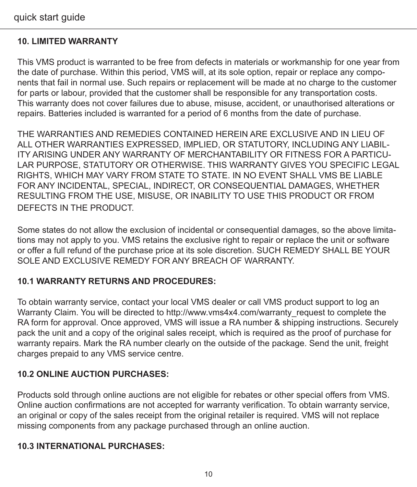### **10. LIMITED WARRANTY**

This VMS product is warranted to be free from defects in materials or workmanship for one year from the date of purchase. Within this period, VMS will, at its sole option, repair or replace any components that fail in normal use. Such repairs or replacement will be made at no charge to the customer for parts or labour, provided that the customer shall be responsible for any transportation costs. This warranty does not cover failures due to abuse, misuse, accident, or unauthorised alterations or repairs. Batteries included is warranted for a period of 6 months from the date of purchase.

THE WARRANTIES AND REMEDIES CONTAINED HEREIN ARE EXCLUSIVE AND IN LIEU OF ALL OTHER WARRANTIES EXPRESSED, IMPLIED, OR STATUTORY, INCLUDING ANY LIABIL-ITY ARISING UNDER ANY WARRANTY OF MERCHANTABILITY OR FITNESS FOR A PARTICU-LAR PURPOSE, STATUTORY OR OTHERWISE, THIS WARRANTY GIVES YOU SPECIFIC LEGAL RIGHTS, WHICH MAY VARY FROM STATE TO STATE. IN NO EVENT SHALL VMS BE LIABLE FOR ANY INCIDENTAL, SPECIAL, INDIRECT, OR CONSEQUENTIAL DAMAGES, WHETHER RESULTING FROM THE USE, MISUSE, OR INABILITY TO USE THIS PRODUCT OR FROM DEFECTS IN THE PRODUCT.

Some states do not allow the exclusion of incidental or consequential damages, so the above limitations may not apply to you. VMS retains the exclusive right to repair or replace the unit or software or offer a full refund of the purchase price at its sole discretion. SUCH REMEDY SHALL BE YOUR SOLE AND EXCLUSIVE REMEDY FOR ANY BREACH OF WARRANTY.

#### **10.1 WARRANTY RETURNS AND PROCEDURES:**

To obtain warranty service, contact your local VMS dealer or call VMS product support to log an Warranty Claim. You will be directed to http://www.vms4x4.com/warranty\_request to complete the RA form for approval. Once approved, VMS will issue a RA number & shipping instructions. Securely pack the unit and a copy of the original sales receipt, which is required as the proof of purchase for warranty repairs. Mark the RA number clearly on the outside of the package. Send the unit, freight charges prepaid to any VMS service centre.

#### **10.2 ONLINE AUCTION PURCHASES:**

Products sold through online auctions are not eligible for rebates or other special offers from VMS. Online auction confirmations are not accepted for warranty verification. To obtain warranty service, an original or copy of the sales receipt from the original retailer is required. VMS will not replace missing components from any package purchased through an online auction.

#### **10.3 INTERNATIONAL PURCHASES:**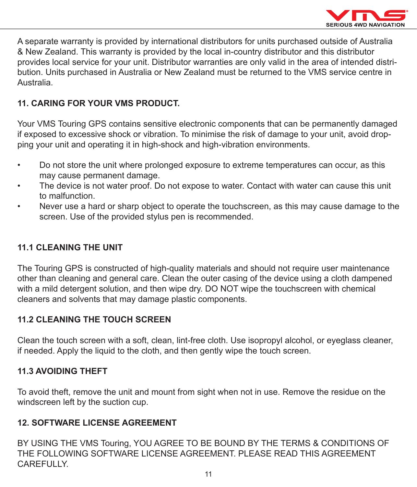

A separate warranty is provided by international distributors for units purchased outside of Australia & New Zealand. This warranty is provided by the local in-country distributor and this distributor provides local service for your unit. Distributor warranties are only valid in the area of intended distribution. Units purchased in Australia or New Zealand must be returned to the VMS service centre in Australia.

#### **11. CARING FOR YOUR VMS PRODUCT.**

Your VMS Touring GPS contains sensitive electronic components that can be permanently damaged if exposed to excessive shock or vibration. To minimise the risk of damage to your unit, avoid dropping your unit and operating it in high-shock and high-vibration environments.

- • Do not store the unit where prolonged exposure to extreme temperatures can occur, as this may cause permanent damage.
- The device is not water proof. Do not expose to water. Contact with water can cause this unit to malfunction.
- Never use a hard or sharp object to operate the touchscreen, as this may cause damage to the screen. Use of the provided stylus pen is recommended.

#### **11.1 CLEANING THE UNIT**

The Touring GPS is constructed of high-quality materials and should not require user maintenance other than cleaning and general care. Clean the outer casing of the device using a cloth dampened with a mild detergent solution, and then wipe dry. DO NOT wipe the touchscreen with chemical cleaners and solvents that may damage plastic components.

#### **11.2 CLEANING THE TOUCH SCREEN**

Clean the touch screen with a soft, clean, lint-free cloth. Use isopropyl alcohol, or eyeglass cleaner, if needed. Apply the liquid to the cloth, and then gently wipe the touch screen.

#### **11.3 AVOIDING THEFT**

To avoid theft, remove the unit and mount from sight when not in use. Remove the residue on the windscreen left by the suction cup.

#### **12. SOFTWARE LICENSE AGREEMENT**

BY USING THE VMS Touring, YOU AGREE TO BE BOUND BY THE TERMS & CONDITIONS OF THE FOLLOWING SOFTWARE LICENSE AGREEMENT. PLEASE READ THIS AGREEMENT **CAREFULLY**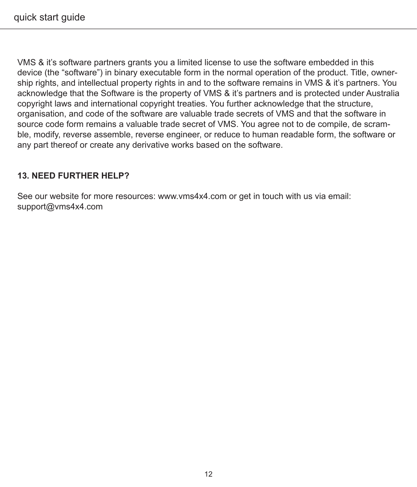VMS & it's software partners grants you a limited license to use the software embedded in this device (the "software") in binary executable form in the normal operation of the product. Title, ownership rights, and intellectual property rights in and to the software remains in VMS & it's partners. You acknowledge that the Software is the property of VMS & it's partners and is protected under Australia copyright laws and international copyright treaties. You further acknowledge that the structure, organisation, and code of the software are valuable trade secrets of VMS and that the software in source code form remains a valuable trade secret of VMS. You agree not to de compile, de scramble, modify, reverse assemble, reverse engineer, or reduce to human readable form, the software or any part thereof or create any derivative works based on the software.

#### **13. NEED FURTHER HELP?**

See our website for more resources: www.vms4x4.com or get in touch with us via email: support@vms4x4.com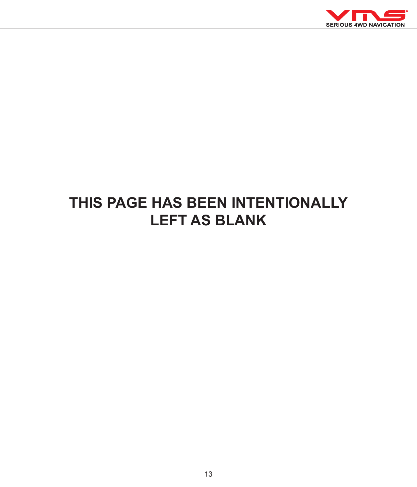

# **THIS PAGE HAS BEEN INTENTIONALLY LEFT AS BLANK**